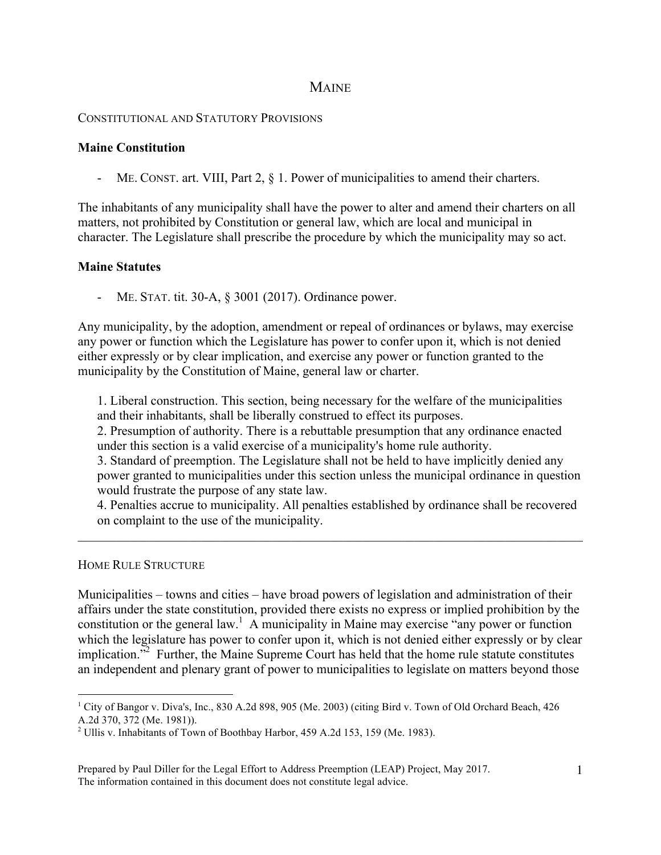# **MAINE**

### CONSTITUTIONAL AND STATUTORY PROVISIONS

# **Maine Constitution**

- ME. CONST. art. VIII, Part 2, § 1. Power of municipalities to amend their charters.

The inhabitants of any municipality shall have the power to alter and amend their charters on all matters, not prohibited by Constitution or general law, which are local and municipal in character. The Legislature shall prescribe the procedure by which the municipality may so act.

# **Maine Statutes**

ME. STAT. tit. 30-A, § 3001 (2017). Ordinance power.

Any municipality, by the adoption, amendment or repeal of ordinances or bylaws, may exercise any power or function which the Legislature has power to confer upon it, which is not denied either expressly or by clear implication, and exercise any power or function granted to the municipality by the Constitution of Maine, general law or charter.

1. Liberal construction. This section, being necessary for the welfare of the municipalities and their inhabitants, shall be liberally construed to effect its purposes.

2. Presumption of authority. There is a rebuttable presumption that any ordinance enacted under this section is a valid exercise of a municipality's home rule authority.

3. Standard of preemption. The Legislature shall not be held to have implicitly denied any power granted to municipalities under this section unless the municipal ordinance in question would frustrate the purpose of any state law.

4. Penalties accrue to municipality. All penalties established by ordinance shall be recovered on complaint to the use of the municipality.

 $\mathcal{L}_\mathcal{L} = \{ \mathcal{L}_\mathcal{L} = \{ \mathcal{L}_\mathcal{L} = \{ \mathcal{L}_\mathcal{L} = \{ \mathcal{L}_\mathcal{L} = \{ \mathcal{L}_\mathcal{L} = \{ \mathcal{L}_\mathcal{L} = \{ \mathcal{L}_\mathcal{L} = \{ \mathcal{L}_\mathcal{L} = \{ \mathcal{L}_\mathcal{L} = \{ \mathcal{L}_\mathcal{L} = \{ \mathcal{L}_\mathcal{L} = \{ \mathcal{L}_\mathcal{L} = \{ \mathcal{L}_\mathcal{L} = \{ \mathcal{L}_\mathcal{$ 

### HOME RULE STRUCTURE

Municipalities – towns and cities – have broad powers of legislation and administration of their affairs under the state constitution, provided there exists no express or implied prohibition by the constitution or the general law.<sup>1</sup> A municipality in Maine may exercise "any power or function" which the legislature has power to confer upon it, which is not denied either expressly or by clear implication."<sup>2</sup> Further, the Maine Supreme Court has held that the home rule statute constitutes an independent and plenary grant of power to municipalities to legislate on matters beyond those

<sup>&</sup>lt;sup>1</sup> City of Bangor v. Diva's, Inc., 830 A.2d 898, 905 (Me. 2003) (citing Bird v. Town of Old Orchard Beach, 426 A.2d 370, 372 (Me. 1981)).

<sup>2</sup> Ullis v. Inhabitants of Town of Boothbay Harbor, 459 A.2d 153, 159 (Me. 1983).